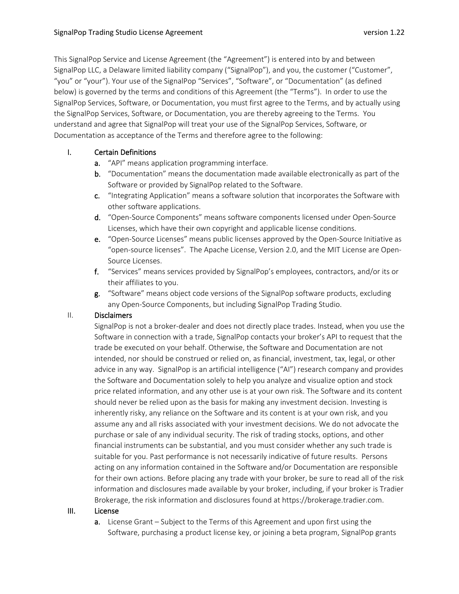This SignalPop Service and License Agreement (the "Agreement") is entered into by and between SignalPop LLC, a Delaware limited liability company ("SignalPop"), and you, the customer ("Customer", "you" or "your"). Your use of the SignalPop "Services", "Software", or "Documentation" (as defined below) is governed by the terms and conditions of this Agreement (the "Terms"). In order to use the SignalPop Services, Software, or Documentation, you must first agree to the Terms, and by actually using the SignalPop Services, Software, or Documentation, you are thereby agreeing to the Terms. You understand and agree that SignalPop will treat your use of the SignalPop Services, Software, or Documentation as acceptance of the Terms and therefore agree to the following:

# I. Certain Definitions

- a. "API" means application programming interface.
- b. "Documentation" means the documentation made available electronically as part of the Software or provided by SignalPop related to the Software.
- c. "Integrating Application" means a software solution that incorporates the Software with other software applications.
- d. "Open-Source Components" means software components licensed under Open-Source Licenses, which have their own copyright and applicable license conditions.
- e. "Open-Source Licenses" means public licenses approved by the Open-Source Initiative as "open-source licenses". The Apache License, Version 2.0, and the MIT License are Open-Source Licenses.
- f. "Services" means services provided by SignalPop's employees, contractors, and/or its or their affiliates to you.
- g. "Software" means object code versions of the SignalPop software products, excluding any Open-Source Components, but including SignalPop Trading Studio.

# II. Disclaimers

SignalPop is not a broker-dealer and does not directly place trades. Instead, when you use the Software in connection with a trade, SignalPop contacts your broker's API to request that the trade be executed on your behalf. Otherwise, the Software and Documentation are not intended, nor should be construed or relied on, as financial, investment, tax, legal, or other advice in any way. SignalPop is an artificial intelligence ("AI") research company and provides the Software and Documentation solely to help you analyze and visualize option and stock price related information, and any other use is at your own risk. The Software and its content should never be relied upon as the basis for making any investment decision. Investing is inherently risky, any reliance on the Software and its content is at your own risk, and you assume any and all risks associated with your investment decisions. We do not advocate the purchase or sale of any individual security. The risk of trading stocks, options, and other financial instruments can be substantial, and you must consider whether any such trade is suitable for you. Past performance is not necessarily indicative of future results. Persons acting on any information contained in the Software and/or Documentation are responsible for their own actions. Before placing any trade with your broker, be sure to read all of the risk information and disclosures made available by your broker, including, if your broker is Tradier Brokerage, the risk information and disclosures found at https://brokerage.tradier.com.

#### III. License

a. License Grant – Subject to the Terms of this Agreement and upon first using the Software, purchasing a product license key, or joining a beta program, SignalPop grants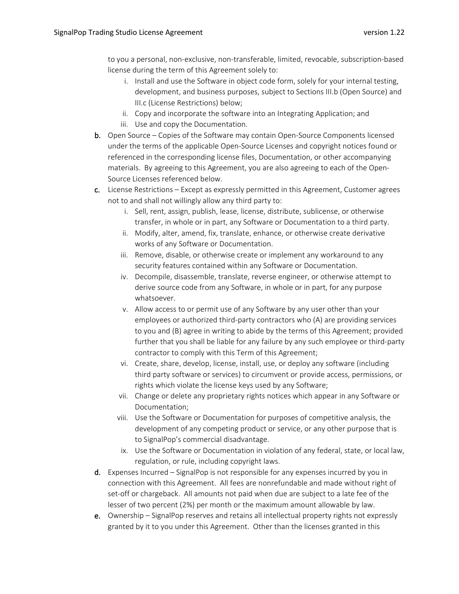to you a personal, non-exclusive, non-transferable, limited, revocable, subscription-based license during the term of this Agreement solely to:

- i. Install and use the Software in object code form, solely for your internal testing, development, and business purposes, subject to Sections III.b (Open Source) and III.c (License Restrictions) below;
- ii. Copy and incorporate the software into an Integrating Application; and iii. Use and copy the Documentation.
- b. Open Source Copies of the Software may contain Open-Source Components licensed under the terms of the applicable Open-Source Licenses and copyright notices found or referenced in the corresponding license files, Documentation, or other accompanying materials. By agreeing to this Agreement, you are also agreeing to each of the Open-Source Licenses referenced below.
- c. License Restrictions Except as expressly permitted in this Agreement, Customer agrees not to and shall not willingly allow any third party to:
	- i. Sell, rent, assign, publish, lease, license, distribute, sublicense, or otherwise transfer, in whole or in part, any Software or Documentation to a third party.
	- ii. Modify, alter, amend, fix, translate, enhance, or otherwise create derivative works of any Software or Documentation.
	- iii. Remove, disable, or otherwise create or implement any workaround to any security features contained within any Software or Documentation.
	- iv. Decompile, disassemble, translate, reverse engineer, or otherwise attempt to derive source code from any Software, in whole or in part, for any purpose whatsoever.
	- v. Allow access to or permit use of any Software by any user other than your employees or authorized third-party contractors who (A) are providing services to you and (B) agree in writing to abide by the terms of this Agreement; provided further that you shall be liable for any failure by any such employee or third-party contractor to comply with this Term of this Agreement;
	- vi. Create, share, develop, license, install, use, or deploy any software (including third party software or services) to circumvent or provide access, permissions, or rights which violate the license keys used by any Software;
	- vii. Change or delete any proprietary rights notices which appear in any Software or Documentation;
	- viii. Use the Software or Documentation for purposes of competitive analysis, the development of any competing product or service, or any other purpose that is to SignalPop's commercial disadvantage.
	- ix. Use the Software or Documentation in violation of any federal, state, or local law, regulation, or rule, including copyright laws.
- d. Expenses Incurred SignalPop is not responsible for any expenses incurred by you in connection with this Agreement. All fees are nonrefundable and made without right of set-off or chargeback. All amounts not paid when due are subject to a late fee of the lesser of two percent (2%) per month or the maximum amount allowable by law.
- e. Ownership SignalPop reserves and retains all intellectual property rights not expressly granted by it to you under this Agreement. Other than the licenses granted in this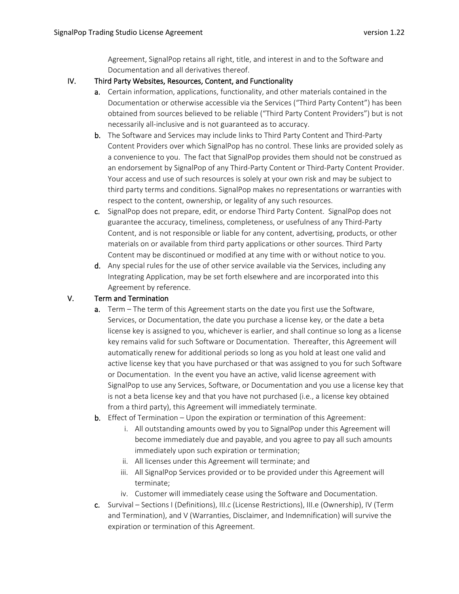Agreement, SignalPop retains all right, title, and interest in and to the Software and Documentation and all derivatives thereof.

# IV. Third Party Websites, Resources, Content, and Functionality

- a. Certain information, applications, functionality, and other materials contained in the Documentation or otherwise accessible via the Services ("Third Party Content") has been obtained from sources believed to be reliable ("Third Party Content Providers") but is not necessarily all-inclusive and is not guaranteed as to accuracy.
- b. The Software and Services may include links to Third Party Content and Third-Party Content Providers over which SignalPop has no control. These links are provided solely as a convenience to you. The fact that SignalPop provides them should not be construed as an endorsement by SignalPop of any Third-Party Content or Third-Party Content Provider. Your access and use of such resources is solely at your own risk and may be subject to third party terms and conditions. SignalPop makes no representations or warranties with respect to the content, ownership, or legality of any such resources.
- c. SignalPop does not prepare, edit, or endorse Third Party Content. SignalPop does not guarantee the accuracy, timeliness, completeness, or usefulness of any Third-Party Content, and is not responsible or liable for any content, advertising, products, or other materials on or available from third party applications or other sources. Third Party Content may be discontinued or modified at any time with or without notice to you.
- d. Any special rules for the use of other service available via the Services, including any Integrating Application, may be set forth elsewhere and are incorporated into this Agreement by reference.

# V. Term and Termination

- a. Term The term of this Agreement starts on the date you first use the Software, Services, or Documentation, the date you purchase a license key, or the date a beta license key is assigned to you, whichever is earlier, and shall continue so long as a license key remains valid for such Software or Documentation. Thereafter, this Agreement will automatically renew for additional periods so long as you hold at least one valid and active license key that you have purchased or that was assigned to you for such Software or Documentation. In the event you have an active, valid license agreement with SignalPop to use any Services, Software, or Documentation and you use a license key that is not a beta license key and that you have not purchased (i.e., a license key obtained from a third party), this Agreement will immediately terminate.
- b. Effect of Termination Upon the expiration or termination of this Agreement:
	- i. All outstanding amounts owed by you to SignalPop under this Agreement will become immediately due and payable, and you agree to pay all such amounts immediately upon such expiration or termination;
	- ii. All licenses under this Agreement will terminate; and
	- iii. All SignalPop Services provided or to be provided under this Agreement will terminate;
	- iv. Customer will immediately cease using the Software and Documentation.
- c. Survival Sections I (Definitions), III.c (License Restrictions), III.e (Ownership), IV (Term and Termination), and V (Warranties, Disclaimer, and Indemnification) will survive the expiration or termination of this Agreement.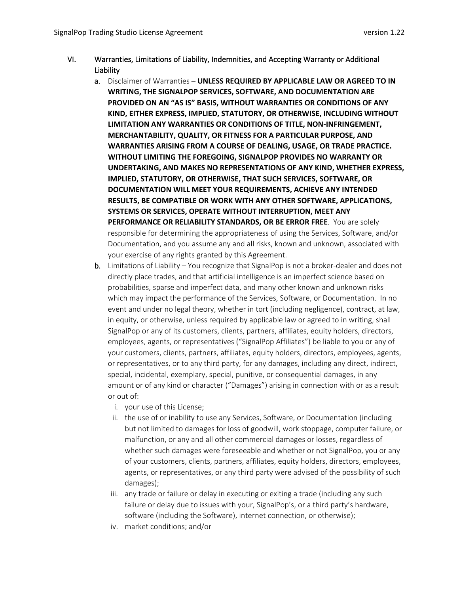- VI. Warranties, Limitations of Liability, Indemnities, and Accepting Warranty or Additional Liability
	- a. Disclaimer of Warranties **UNLESS REQUIRED BY APPLICABLE LAW OR AGREED TO IN WRITING, THE SIGNALPOP SERVICES, SOFTWARE, AND DOCUMENTATION ARE PROVIDED ON AN "AS IS" BASIS, WITHOUT WARRANTIES OR CONDITIONS OF ANY KIND, EITHER EXPRESS, IMPLIED, STATUTORY, OR OTHERWISE, INCLUDING WITHOUT LIMITATION ANY WARRANTIES OR CONDITIONS OF TITLE, NON-INFRINGEMENT, MERCHANTABILITY, QUALITY, OR FITNESS FOR A PARTICULAR PURPOSE, AND WARRANTIES ARISING FROM A COURSE OF DEALING, USAGE, OR TRADE PRACTICE. WITHOUT LIMITING THE FOREGOING, SIGNALPOP PROVIDES NO WARRANTY OR UNDERTAKING, AND MAKES NO REPRESENTATIONS OF ANY KIND, WHETHER EXPRESS, IMPLIED, STATUTORY, OR OTHERWISE, THAT SUCH SERVICES, SOFTWARE, OR DOCUMENTATION WILL MEET YOUR REQUIREMENTS, ACHIEVE ANY INTENDED RESULTS, BE COMPATIBLE OR WORK WITH ANY OTHER SOFTWARE, APPLICATIONS, SYSTEMS OR SERVICES, OPERATE WITHOUT INTERRUPTION, MEET ANY PERFORMANCE OR RELIABILITY STANDARDS, OR BE ERROR FREE.** You are solely responsible for determining the appropriateness of using the Services, Software, and/or Documentation, and you assume any and all risks, known and unknown, associated with your exercise of any rights granted by this Agreement.
	- b. Limitations of Liability You recognize that SignalPop is not a broker-dealer and does not directly place trades, and that artificial intelligence is an imperfect science based on probabilities, sparse and imperfect data, and many other known and unknown risks which may impact the performance of the Services, Software, or Documentation. In no event and under no legal theory, whether in tort (including negligence), contract, at law, in equity, or otherwise, unless required by applicable law or agreed to in writing, shall SignalPop or any of its customers, clients, partners, affiliates, equity holders, directors, employees, agents, or representatives ("SignalPop Affiliates") be liable to you or any of your customers, clients, partners, affiliates, equity holders, directors, employees, agents, or representatives, or to any third party, for any damages, including any direct, indirect, special, incidental, exemplary, special, punitive, or consequential damages, in any amount or of any kind or character ("Damages") arising in connection with or as a result or out of:
		- i. your use of this License;
		- ii. the use of or inability to use any Services, Software, or Documentation (including but not limited to damages for loss of goodwill, work stoppage, computer failure, or malfunction, or any and all other commercial damages or losses, regardless of whether such damages were foreseeable and whether or not SignalPop, you or any of your customers, clients, partners, affiliates, equity holders, directors, employees, agents, or representatives, or any third party were advised of the possibility of such damages);
		- iii. any trade or failure or delay in executing or exiting a trade (including any such failure or delay due to issues with your, SignalPop's, or a third party's hardware, software (including the Software), internet connection, or otherwise);
		- iv. market conditions; and/or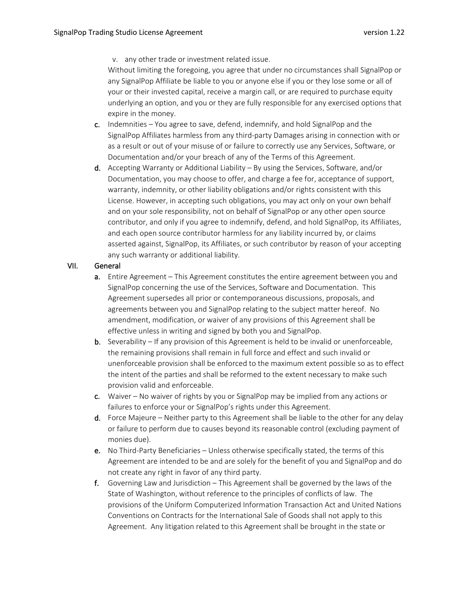v. any other trade or investment related issue.

Without limiting the foregoing, you agree that under no circumstances shall SignalPop or any SignalPop Affiliate be liable to you or anyone else if you or they lose some or all of your or their invested capital, receive a margin call, or are required to purchase equity underlying an option, and you or they are fully responsible for any exercised options that expire in the money.

- c. Indemnities You agree to save, defend, indemnify, and hold SignalPop and the SignalPop Affiliates harmless from any third-party Damages arising in connection with or as a result or out of your misuse of or failure to correctly use any Services, Software, or Documentation and/or your breach of any of the Terms of this Agreement.
- **d.** Accepting Warranty or Additional Liability By using the Services, Software, and/or Documentation, you may choose to offer, and charge a fee for, acceptance of support, warranty, indemnity, or other liability obligations and/or rights consistent with this License. However, in accepting such obligations, you may act only on your own behalf and on your sole responsibility, not on behalf of SignalPop or any other open source contributor, and only if you agree to indemnify, defend, and hold SignalPop, its Affiliates, and each open source contributor harmless for any liability incurred by, or claims asserted against, SignalPop, its Affiliates, or such contributor by reason of your accepting any such warranty or additional liability.

#### VII. General

- a. Entire Agreement This Agreement constitutes the entire agreement between you and SignalPop concerning the use of the Services, Software and Documentation. This Agreement supersedes all prior or contemporaneous discussions, proposals, and agreements between you and SignalPop relating to the subject matter hereof. No amendment, modification, or waiver of any provisions of this Agreement shall be effective unless in writing and signed by both you and SignalPop.
- **b.** Severability If any provision of this Agreement is held to be invalid or unenforceable, the remaining provisions shall remain in full force and effect and such invalid or unenforceable provision shall be enforced to the maximum extent possible so as to effect the intent of the parties and shall be reformed to the extent necessary to make such provision valid and enforceable.
- c. Waiver No waiver of rights by you or SignalPop may be implied from any actions or failures to enforce your or SignalPop's rights under this Agreement.
- d. Force Majeure Neither party to this Agreement shall be liable to the other for any delay or failure to perform due to causes beyond its reasonable control (excluding payment of monies due).
- e. No Third-Party Beneficiaries Unless otherwise specifically stated, the terms of this Agreement are intended to be and are solely for the benefit of you and SignalPop and do not create any right in favor of any third party.
- f. Governing Law and Jurisdiction This Agreement shall be governed by the laws of the State of Washington, without reference to the principles of conflicts of law. The provisions of the Uniform Computerized Information Transaction Act and United Nations Conventions on Contracts for the International Sale of Goods shall not apply to this Agreement. Any litigation related to this Agreement shall be brought in the state or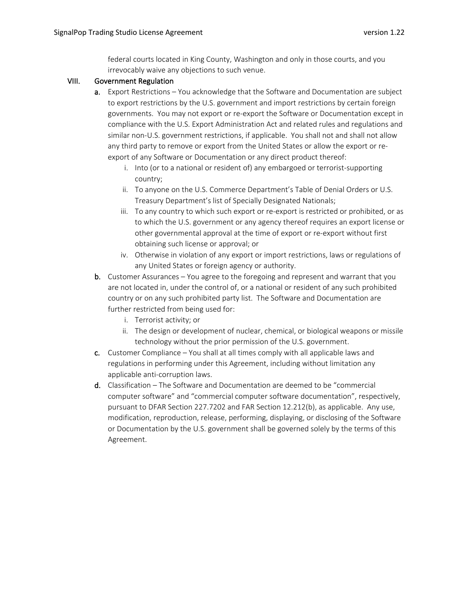federal courts located in King County, Washington and only in those courts, and you irrevocably waive any objections to such venue.

#### VIII. Government Regulation

- a. Export Restrictions You acknowledge that the Software and Documentation are subject to export restrictions by the U.S. government and import restrictions by certain foreign governments. You may not export or re-export the Software or Documentation except in compliance with the U.S. Export Administration Act and related rules and regulations and similar non-U.S. government restrictions, if applicable. You shall not and shall not allow any third party to remove or export from the United States or allow the export or reexport of any Software or Documentation or any direct product thereof:
	- i. Into (or to a national or resident of) any embargoed or terrorist-supporting country;
	- ii. To anyone on the U.S. Commerce Department's Table of Denial Orders or U.S. Treasury Department's list of Specially Designated Nationals;
	- iii. To any country to which such export or re-export is restricted or prohibited, or as to which the U.S. government or any agency thereof requires an export license or other governmental approval at the time of export or re-export without first obtaining such license or approval; or
	- iv. Otherwise in violation of any export or import restrictions, laws or regulations of any United States or foreign agency or authority.
- b. Customer Assurances You agree to the foregoing and represent and warrant that you are not located in, under the control of, or a national or resident of any such prohibited country or on any such prohibited party list. The Software and Documentation are further restricted from being used for:
	- i. Terrorist activity; or
	- ii. The design or development of nuclear, chemical, or biological weapons or missile technology without the prior permission of the U.S. government.
- c. Customer Compliance You shall at all times comply with all applicable laws and regulations in performing under this Agreement, including without limitation any applicable anti-corruption laws.
- d. Classification The Software and Documentation are deemed to be "commercial computer software" and "commercial computer software documentation", respectively, pursuant to DFAR Section 227.7202 and FAR Section 12.212(b), as applicable. Any use, modification, reproduction, release, performing, displaying, or disclosing of the Software or Documentation by the U.S. government shall be governed solely by the terms of this Agreement.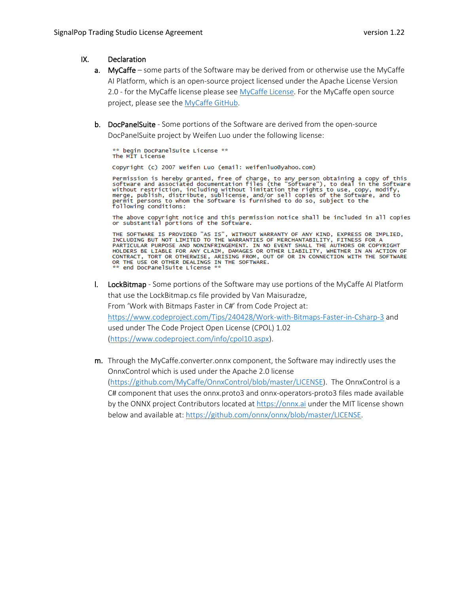#### IX. Declaration

- a. MyCaffe some parts of the Software may be derived from or otherwise use the MyCaffe AI Platform, which is an open-source project licensed under the Apache License Version 2.0 - for the MyCaffe license please see [MyCaffe License.](https://github.com/MyCaffe/MyCaffe/blob/master/LICENSE) For the MyCaffe open source project, please see the [MyCaffe GitHub.](https://github.com/MyCaffe/MyCaffe/blob/master/LICENSE)
- b. DocPanelSuite Some portions of the Software are derived from the open-source DocPanelSuite project by Weifen Luo under the following license:

\*\* begin DocPanelSuite License \*\* The MIT License

Copyright (c) 2007 Weifen Luo (email: weifenluo@yahoo.com)

Permission is hereby granted, free of charge, to any permission obtaining a copy of this software and associated documentation files (the "Software"), to deal in the Software without restriction, including without limitati

The above copyright notice and this permission notice shall be included in all copies or substantial portions of the Software.

THE SOFTWARE IS PROVIDED "AS IS", WITHOUT WARRANTY OF ANY KIND, EXPRESS OR IMPLIED,<br>INCLUDING BUT NOT LIMITED TO THE WARRANTIES OF MERCHANTABILITY, FITNESS FOR A PARTICULAR PURPOSE AND NONINFRINGEMENT. IN NO EVENT SHALL THE AUTHORS OR COPYRIGHT<br>HOLDERS BE LIABLE FOR ANY CLAIM, DAMAGES OR OTHER LIABILITY, WHETHER IN AN ACTION OF CONTRACT, TORT OR OTHERWISE, ARISING FROM, OUT OF OR IN CONNECTION WITH THE SOFTWARE OR THE USE OR OTHER DEALINGS IN THE SOFTWARE. \*\* end DocPanelSuite License \*\*

- l. LockBitmap Some portions of the Software may use portions of the MyCaffe AI Platform that use the LockBitmap.cs file provided by Van Maisuradze, From 'Work with Bitmaps Faster in C#' from Code Project at: https://www.codeproject.com/Tips/240428/Work-with-Bitmaps-Faster-in-Csharp-3 and used under The Code Project Open License (CPOL) 1.02 [\(https://www.codeproject.com/info/cpol10.aspx\)](https://www.codeproject.com/info/cpol10.aspx).
- m. Through the MyCaffe.converter.onnx component, the Software may indirectly uses the OnnxControl which is used under the Apache 2.0 license [\(https://github.com/MyCaffe/OnnxControl/blob/master/LICENSE\)](https://github.com/MyCaffe/OnnxControl/blob/master/LICENSE). The OnnxControl is a C# component that uses the onnx.proto3 and onnx-operators-proto3 files made available by the ONNX project Contributors located at [https://onnx.ai](https://onnx.ai/) under the MIT license shown below and available at: [https://github.com/onnx/onnx/blob/master/LICENSE.](https://github.com/onnx/onnx/blob/master/LICENSE)